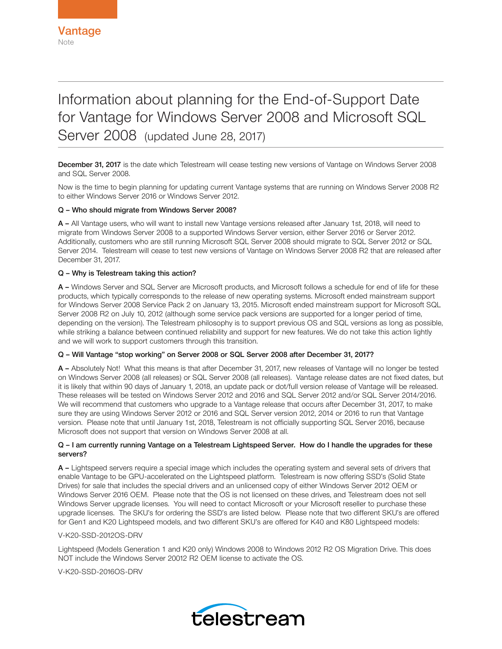# Information about planning for the End-of-Support Date for Vantage for Windows Server 2008 and Microsoft SQL Server 2008 (updated June 28, 2017)

December 31, 2017 is the date which Telestream will cease testing new versions of Vantage on Windows Server 2008 and SQL Server 2008.

Now is the time to begin planning for updating current Vantage systems that are running on Windows Server 2008 R2 to either Windows Server 2016 or Windows Server 2012.

## Q – Who should migrate from Windows Server 2008?

A – All Vantage users, who will want to install new Vantage versions released after January 1st, 2018, will need to migrate from Windows Server 2008 to a supported Windows Server version, either Server 2016 or Server 2012. Additionally, customers who are still running Microsoft SQL Server 2008 should migrate to SQL Server 2012 or SQL Server 2014. Telestream will cease to test new versions of Vantage on Windows Server 2008 R2 that are released after December 31, 2017.

## Q – Why is Telestream taking this action?

A – Windows Server and SQL Server are Microsoft products, and Microsoft follows a schedule for end of life for these products, which typically corresponds to the release of new operating systems. Microsoft ended mainstream support for Windows Server 2008 Service Pack 2 on January 13, 2015. Microsoft ended mainstream support for Microsoft SQL Server 2008 R2 on July 10, 2012 (although some service pack versions are supported for a longer period of time, depending on the version). The Telestream philosophy is to support previous OS and SQL versions as long as possible, while striking a balance between continued reliability and support for new features. We do not take this action lightly and we will work to support customers through this transition.

## Q – Will Vantage "stop working" on Server 2008 or SQL Server 2008 after December 31, 2017?

A – Absolutely Not! What this means is that after December 31, 2017, new releases of Vantage will no longer be tested on Windows Server 2008 (all releases) or SQL Server 2008 (all releases). Vantage release dates are not fixed dates, but it is likely that within 90 days of January 1, 2018, an update pack or dot/full version release of Vantage will be released. These releases will be tested on Windows Server 2012 and 2016 and SQL Server 2012 and/or SQL Server 2014/2016. We will recommend that customers who upgrade to a Vantage release that occurs after December 31, 2017, to make sure they are using Windows Server 2012 or 2016 and SQL Server version 2012, 2014 or 2016 to run that Vantage version. Please note that until January 1st, 2018, Telestream is not officially supporting SQL Server 2016, because Microsoft does not support that version on Windows Server 2008 at all.

## Q – I am currently running Vantage on a Telestream Lightspeed Server. How do I handle the upgrades for these servers?

A – Lightspeed servers require a special image which includes the operating system and several sets of drivers that enable Vantage to be GPU-accelerated on the Lightspeed platform. Telestream is now offering SSD's (Solid State Drives) for sale that includes the special drivers and an unlicensed copy of either Windows Server 2012 OEM or Windows Server 2016 OEM. Please note that the OS is not licensed on these drives, and Telestream does not sell Windows Server upgrade licenses. You will need to contact Microsoft or your Microsoft reseller to purchase these upgrade licenses. The SKU's for ordering the SSD's are listed below. Please note that two different SKU's are offered for Gen1 and K20 Lightspeed models, and two different SKU's are offered for K40 and K80 Lightspeed models:

## V-K20-SSD-2012OS-DRV

Lightspeed (Models Generation 1 and K20 only) Windows 2008 to Windows 2012 R2 OS Migration Drive. This does NOT include the Windows Server 20012 R2 OEM license to activate the OS.

V-K20-SSD-2016OS-DRV